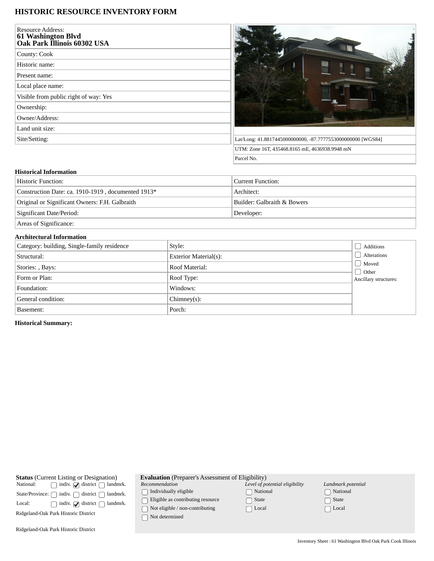## **HISTORIC RESOURCE INVENTORY FORM**

| <b>Resource Address:</b><br>61 Washington Blvd<br>Oak Park Illinois 60302 USA |  |
|-------------------------------------------------------------------------------|--|
| County: Cook                                                                  |  |
| Historic name:                                                                |  |
| Present name:                                                                 |  |
| Local place name:                                                             |  |
| Visible from public right of way: Yes                                         |  |
| Ownership:                                                                    |  |
| Owner/Address:                                                                |  |
| Land unit size:                                                               |  |
| Site/Setting:                                                                 |  |
|                                                                               |  |



## **Historical Information**

| Historic Function:                                 | Current Function:           |  |
|----------------------------------------------------|-----------------------------|--|
| Construction Date: ca. 1910-1919, documented 1913* | Architect:                  |  |
| Original or Significant Owners: F.H. Galbraith     | Builder: Galbraith & Bowers |  |
| Significant Date/Period:                           | Developer:                  |  |
|                                                    |                             |  |

Areas of Significance:

## **Architectural Information**

| Category: building, Single-family residence | Style:                | Additions                                         |
|---------------------------------------------|-----------------------|---------------------------------------------------|
| Structural:                                 | Exterior Material(s): | Alterations                                       |
| Stories: , Bays:                            | Roof Material:        | Moved<br>$\bigcup$ Other<br>Ancillary structures: |
| Form or Plan:                               | Roof Type:            |                                                   |
| Foundation:                                 | Windows:              |                                                   |
| General condition:                          | $Chimney(s)$ :        |                                                   |
| Basement:                                   | Porch:                |                                                   |

**Historical Summary:**

**Status** (Current Listing or Designation)<br>National:  $\bigcap$  indiv.  $\bigcap$  district  $\bigcap$  landr  $\hfill\text{\sf \_}$  indiv.  $\hfill\text{\sf \_}$  district  $\hfill\text{\sf \_}$  landmrk.  $\begin{minipage}[c]{0.9\linewidth} \textbf{State/Province:} \ \textcolor{red}{\bigcap} \ \textbf{indiv.} \ \textcolor{red}{\bigcap} \ \textbf{district} \ \textcolor{red}{\bigcap} \ \textbf{landmrk.} \end{minipage}$ Local:  $\bigcap$  indiv.  $\bigcirc$  district  $\bigcirc$  landmrk. Ridgeland-Oak Park Historic District Ridgeland-Oak Park Historic District **Evaluation** (Preparer's Assessment of Eligibility) *Recommendation*  $\bigcap$  Individually eligible  $\hfill\Box$ <br> <br> Eligible as contributing resource  $\hfill\textcolor{red}{\fbox{}}$  Not eligible / non-contributing Not determined *Level of potential eligibility* National State □ Local *Landmark potential* National □ State  $\Box$  Local